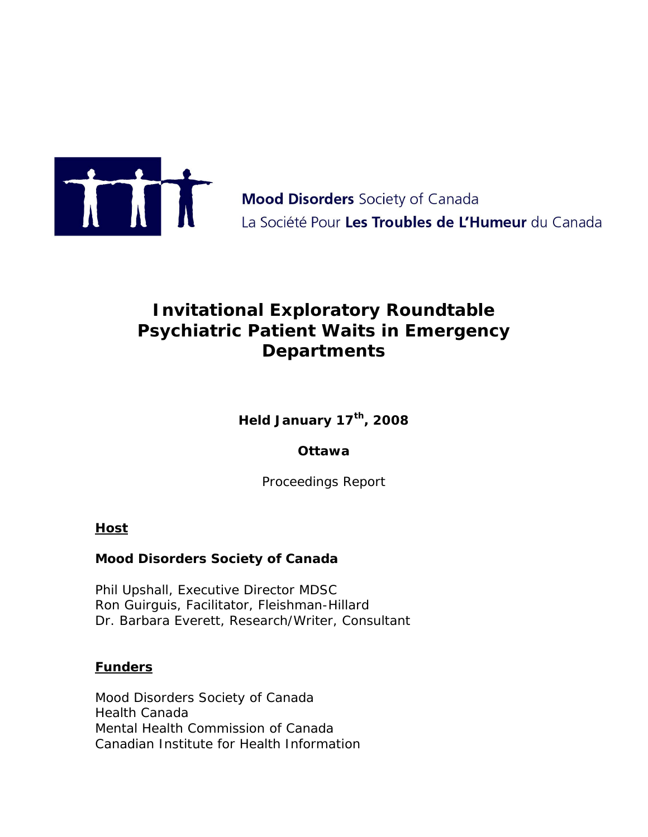

**Mood Disorders** Society of Canada La Société Pour Les Troubles de L'Humeur du Canada

# **Invitational Exploratory Roundtable Psychiatric Patient Waits in Emergency Departments**

**Held January 17th, 2008**

# **Ottawa**

Proceedings Report

# **Host**

#### **Mood Disorders Society of Canada**

Phil Upshall, Executive Director MDSC Ron Guirguis, Facilitator, Fleishman-Hillard Dr. Barbara Everett, Research/Writer, Consultant

#### **Funders**

Mood Disorders Society of Canada Health Canada Mental Health Commission of Canada Canadian Institute for Health Information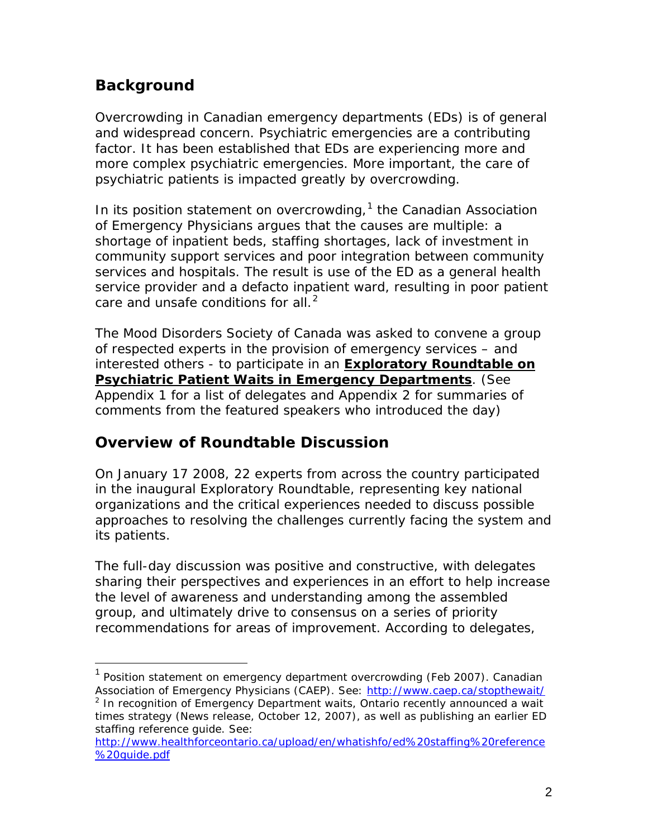# **Background**

Overcrowding in Canadian emergency departments (EDs) is of general and widespread concern. Psychiatric emergencies are a contributing factor. It has been established that EDs are experiencing more and more complex psychiatric emergencies. More important, the care of psychiatric patients is impacted greatly by overcrowding.

In its position statement on overcrowding, $<sup>1</sup>$  $<sup>1</sup>$  $<sup>1</sup>$  the Canadian Association</sup> of Emergency Physicians argues that the causes are multiple: a shortage of inpatient beds, staffing shortages, lack of investment in community support services and poor integration between community services and hospitals. The result is use of the ED as a general health service provider and a defacto inpatient ward, resulting in poor patient care and unsafe conditions for all. $<sup>2</sup>$  $<sup>2</sup>$  $<sup>2</sup>$ </sup>

The Mood Disorders Society of Canada was asked to convene a group of respected experts in the provision of emergency services – and interested others - to participate in an **Exploratory Roundtable on Psychiatric Patient Waits in Emergency Departments**. (See Appendix 1 for a list of delegates and Appendix 2 for summaries of comments from the featured speakers who introduced the day)

# **Overview of Roundtable Discussion**

On January 17 2008, 22 experts from across the country participated in the inaugural Exploratory Roundtable, representing key national organizations and the critical experiences needed to discuss possible approaches to resolving the challenges currently facing the system and its patients.

The full-day discussion was positive and constructive, with delegates sharing their perspectives and experiences in an effort to help increase the level of awareness and understanding among the assembled group, and ultimately drive to consensus on a series of priority recommendations for areas of improvement. According to delegates,

<span id="page-1-0"></span><sup>&</sup>lt;sup>1</sup> Position statement on emergency department overcrowding (Feb 2007). Canadian Association of Emergency Physicians (CAEP). See:<http://www.caep.ca/stopthewait/>

<span id="page-1-1"></span><sup>&</sup>lt;sup>2</sup> In recognition of Emergency Department waits, Ontario recently announced a wait times strategy (News release, October 12, 2007), as well as publishing an earlier ED staffing reference guide. See:

[http://www.healthforceontario.ca/upload/en/whatishfo/ed%20staffing%20reference](http://www.healthforceontario.ca/upload/en/whatishfo/ed%20staffing%20reference%20guide.pdf) [%20guide.pdf](http://www.healthforceontario.ca/upload/en/whatishfo/ed%20staffing%20reference%20guide.pdf)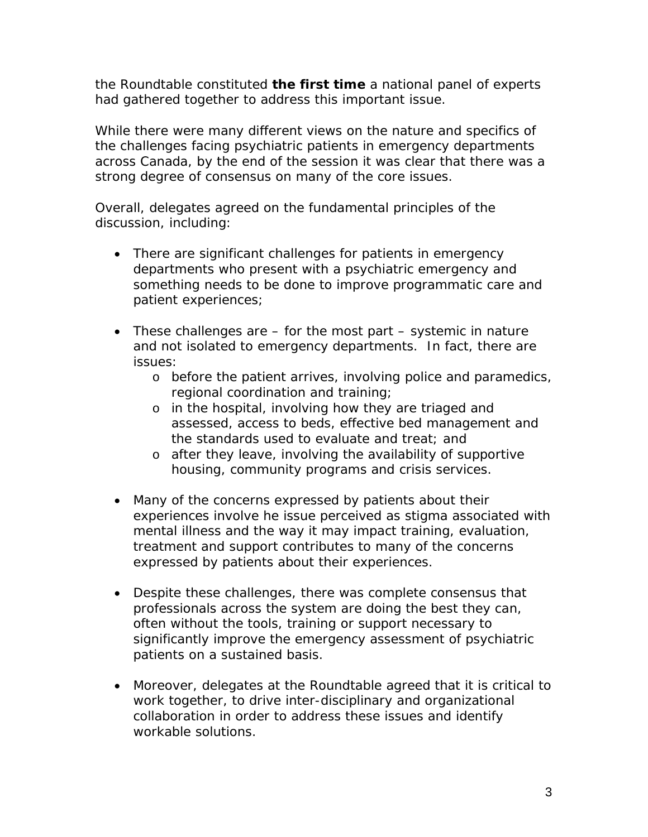the Roundtable constituted *the first time* a national panel of experts had gathered together to address this important issue.

While there were many different views on the nature and specifics of the challenges facing psychiatric patients in emergency departments across Canada, by the end of the session it was clear that there was a strong degree of consensus on many of the core issues.

Overall, delegates agreed on the fundamental principles of the discussion, including:

- There are significant challenges for patients in emergency departments who present with a psychiatric emergency and something needs to be done to improve programmatic care and patient experiences;
- These challenges are for the most part systemic in nature and not isolated to emergency departments. In fact, there are issues:
	- o before the patient arrives, involving police and paramedics, regional coordination and training;
	- o in the hospital, involving how they are triaged and assessed, access to beds, effective bed management and the standards used to evaluate and treat; and
	- o after they leave, involving the availability of supportive housing, community programs and crisis services.
- Many of the concerns expressed by patients about their experiences involve he issue perceived as stigma associated with mental illness and the way it may impact training, evaluation, treatment and support contributes to many of the concerns expressed by patients about their experiences.
- Despite these challenges, there was complete consensus that professionals across the system are doing the best they can, often without the tools, training or support necessary to significantly improve the emergency assessment of psychiatric patients on a sustained basis.
- Moreover, delegates at the Roundtable agreed that it is critical to work together, to drive inter-disciplinary and organizational collaboration in order to address these issues and identify workable solutions.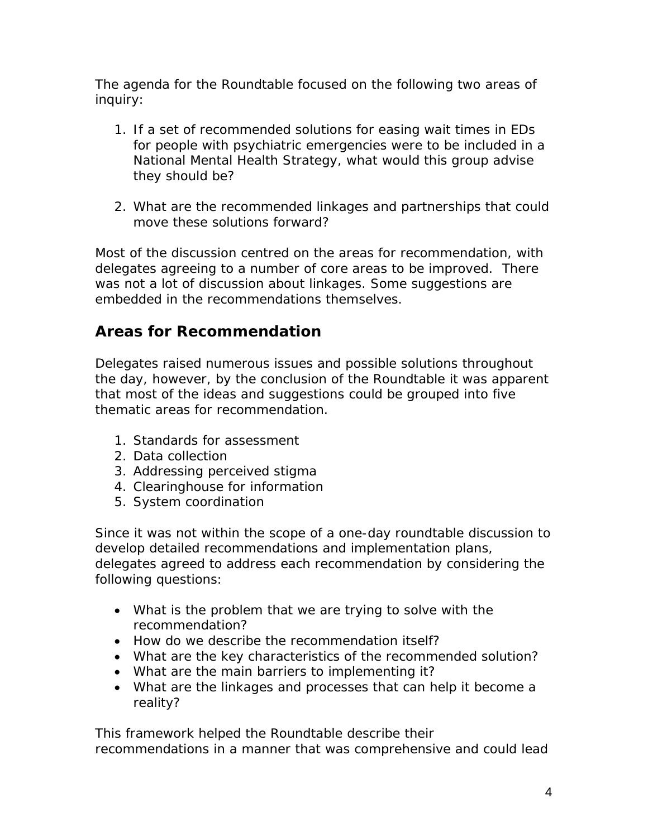The agenda for the Roundtable focused on the following two areas of inquiry:

- 1. If a set of recommended solutions for easing wait times in EDs for people with psychiatric emergencies were to be included in a National Mental Health Strategy, what would this group advise they should be?
- 2. What are the recommended linkages and partnerships that could move these solutions forward?

Most of the discussion centred on the areas for recommendation, with delegates agreeing to a number of core areas to be improved. There was not a lot of discussion about linkages. Some suggestions are embedded in the recommendations themselves.

# **Areas for Recommendation**

Delegates raised numerous issues and possible solutions throughout the day, however, by the conclusion of the Roundtable it was apparent that most of the ideas and suggestions could be grouped into five thematic areas for recommendation.

- 1. Standards for assessment
- 2. Data collection
- 3. Addressing perceived stigma
- 4. Clearinghouse for information
- 5. System coordination

Since it was not within the scope of a one-day roundtable discussion to develop detailed recommendations and implementation plans, delegates agreed to address each recommendation by considering the following questions:

- What is the problem that we are trying to solve with the recommendation?
- How do we describe the recommendation itself?
- What are the key characteristics of the recommended solution?
- What are the main barriers to implementing it?
- What are the linkages and processes that can help it become a reality?

This framework helped the Roundtable describe their recommendations in a manner that was comprehensive and could lead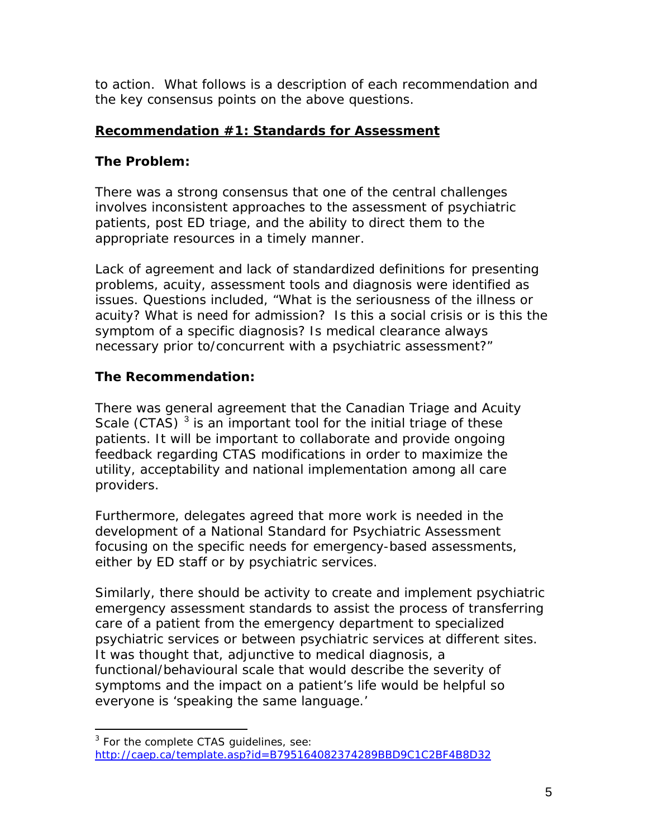to action. What follows is a description of each recommendation and the key consensus points on the above questions.

# **Recommendation #1: Standards for Assessment**

# **The Problem:**

There was a strong consensus that one of the central challenges involves inconsistent approaches to the assessment of psychiatric patients, post ED triage, and the ability to direct them to the appropriate resources in a timely manner.

Lack of agreement and lack of standardized definitions for presenting problems, acuity, assessment tools and diagnosis were identified as issues. Questions included, "What is the seriousness of the illness or acuity? What is need for admission? Is this a social crisis or is this the symptom of a specific diagnosis? Is medical clearance *always* necessary prior to/concurrent with a psychiatric assessment?"

# **The Recommendation:**

There was general agreement that the Canadian Triage and Acuity Scale (CTAS)  $3$  is an important tool for the initial triage of these patients. It will be important to collaborate and provide ongoing feedback regarding CTAS modifications in order to maximize the utility, acceptability and national implementation among all care providers.

Furthermore, delegates agreed that more work is needed in the development of a National Standard for Psychiatric Assessment focusing on the specific needs for emergency-based assessments, either by ED staff or by psychiatric services.

Similarly, there should be activity to create and implement psychiatric emergency assessment standards to assist the process of transferring care of a patient from the emergency department to specialized psychiatric services or between psychiatric services at different sites. It was thought that, adjunctive to medical diagnosis, a functional/behavioural scale that would describe the severity of symptoms and the impact on a patient's life would be helpful so everyone is 'speaking the same language.'

<span id="page-4-0"></span><sup>&</sup>lt;sup>3</sup> For the complete CTAS guidelines, see: <http://caep.ca/template.asp?id=B795164082374289BBD9C1C2BF4B8D32>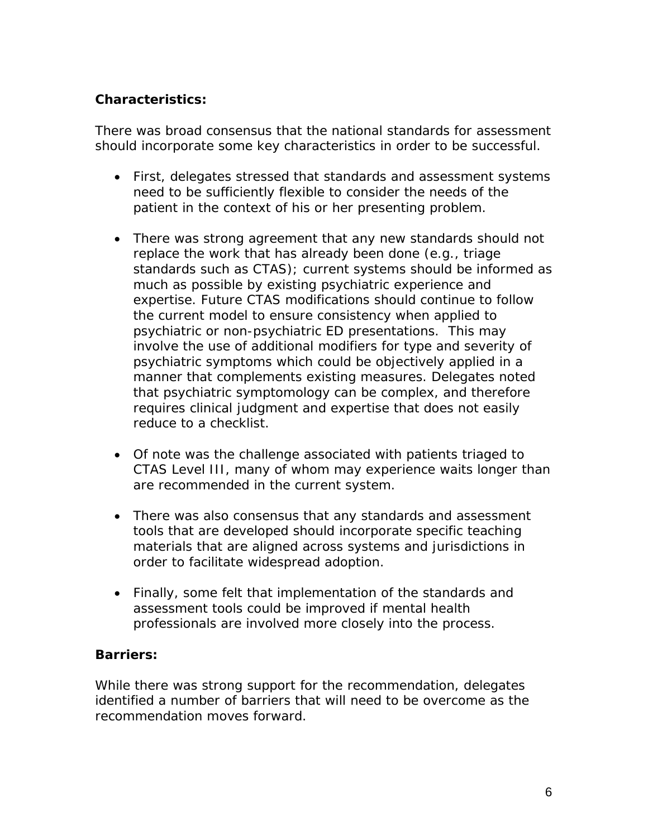# **Characteristics:**

There was broad consensus that the national standards for assessment should incorporate some key characteristics in order to be successful.

- First, delegates stressed that standards and assessment systems need to be sufficiently flexible to consider the needs of the patient in the context of his or her presenting problem.
- There was strong agreement that any new standards should not replace the work that has already been done (e.g., triage standards such as CTAS); current systems should be informed as much as possible by existing psychiatric experience and expertise. Future CTAS modifications should continue to follow the current model to ensure consistency when applied to psychiatric or non-psychiatric ED presentations. This may involve the use of additional modifiers for type and severity of psychiatric symptoms which could be objectively applied in a manner that complements existing measures. Delegates noted that psychiatric symptomology can be complex, and therefore requires clinical judgment and expertise that does not easily reduce to a checklist.
- Of note was the challenge associated with patients triaged to CTAS Level III, many of whom may experience waits longer than are recommended in the current system.
- There was also consensus that any standards and assessment tools that are developed should incorporate specific teaching materials that are aligned across systems and jurisdictions in order to facilitate widespread adoption.
- Finally, some felt that implementation of the standards and assessment tools could be improved if mental health professionals are involved more closely into the process.

# **Barriers:**

While there was strong support for the recommendation, delegates identified a number of barriers that will need to be overcome as the recommendation moves forward.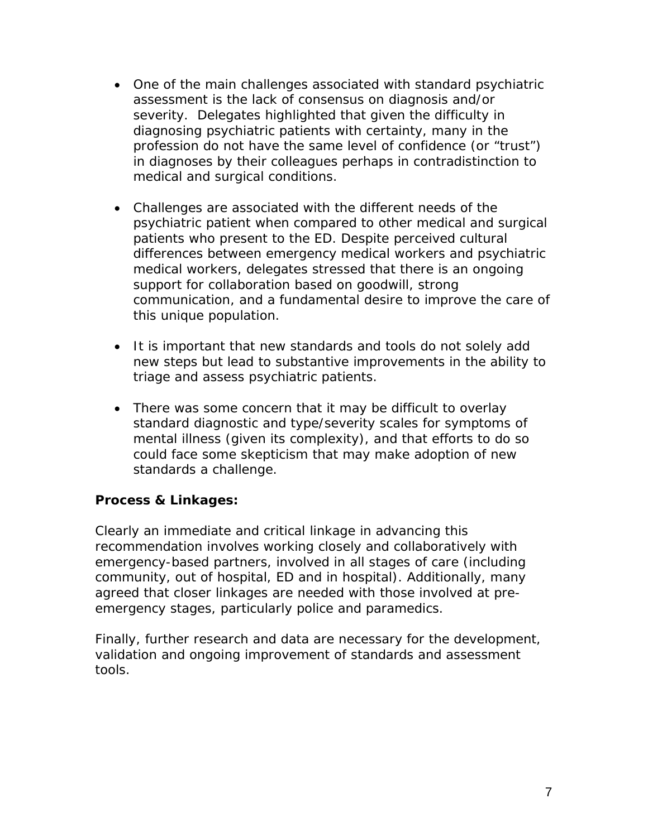- One of the main challenges associated with standard psychiatric assessment is the lack of consensus on diagnosis and/or severity. Delegates highlighted that given the difficulty in diagnosing psychiatric patients with certainty, many in the profession do not have the same level of confidence (or "trust") in diagnoses by their colleagues perhaps in contradistinction to medical and surgical conditions.
- Challenges are associated with the different needs of the psychiatric patient when compared to other medical and surgical patients who present to the ED. Despite perceived cultural differences between emergency medical workers and psychiatric medical workers, delegates stressed that there is an ongoing support for collaboration based on goodwill, strong communication, and a fundamental desire to improve the care of this unique population.
- It is important that new standards and tools do not solely add new steps but lead to substantive improvements in the ability to triage and assess psychiatric patients.
- There was some concern that it may be difficult to overlay standard diagnostic and type/severity scales for symptoms of mental illness (given its complexity), and that efforts to do so could face some skepticism that may make adoption of new standards a challenge.

# **Process & Linkages:**

Clearly an immediate and critical linkage in advancing this recommendation involves working closely and collaboratively with emergency-based partners, involved in all stages of care (including community, out of hospital, ED and in hospital). Additionally, many agreed that closer linkages are needed with those involved at preemergency stages, particularly police and paramedics.

Finally, further research and data are necessary for the development, validation and ongoing improvement of standards and assessment tools.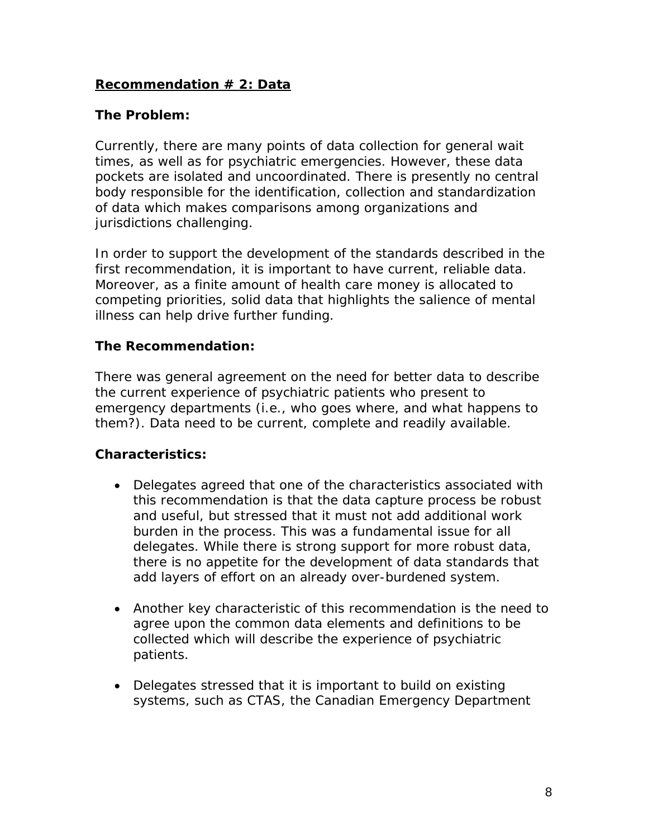# **Recommendation # 2: Data**

#### **The Problem:**

Currently, there are many points of data collection for general wait times, as well as for psychiatric emergencies. However, these data pockets are isolated and uncoordinated. There is presently no central body responsible for the identification, collection and standardization of data which makes comparisons among organizations and jurisdictions challenging.

In order to support the development of the standards described in the first recommendation, it is important to have current, reliable data. Moreover, as a finite amount of health care money is allocated to competing priorities, solid data that highlights the salience of mental illness can help drive further funding.

### **The Recommendation:**

There was general agreement on the need for better data to describe the current experience of psychiatric patients who present to emergency departments (i.e., who goes where, and what happens to them?). Data need to be current, complete and readily available.

#### **Characteristics:**

- Delegates agreed that one of the characteristics associated with this recommendation is that the data capture process be robust and useful, but stressed that it must not add additional work burden in the process. This was a fundamental issue for all delegates. While there is strong support for more robust data, there is no appetite for the development of data standards that add layers of effort on an already over-burdened system.
- Another key characteristic of this recommendation is the need to agree upon the common data elements and definitions to be collected which will describe the experience of psychiatric patients.
- Delegates stressed that it is important to build on existing systems, such as CTAS, the Canadian Emergency Department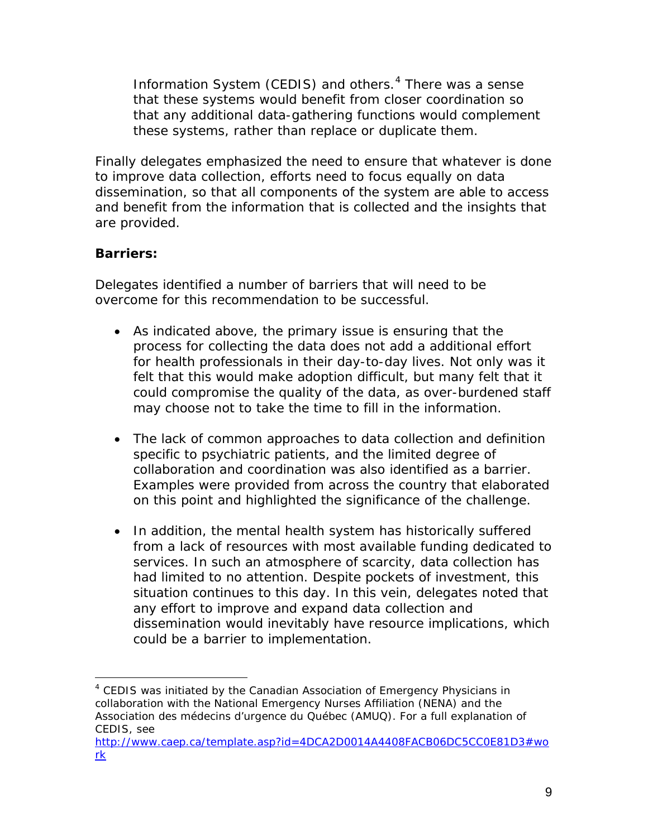Information System (CEDIS) and others.<sup>[4](#page-8-0)</sup> There was a sense that these systems would benefit from closer coordination so that any additional data-gathering functions would complement these systems, rather than replace or duplicate them.

Finally delegates emphasized the need to ensure that whatever is done to improve data collection, efforts need to focus equally on data dissemination, so that all components of the system are able to access and benefit from the information that is collected and the insights that are provided.

# **Barriers:**

Delegates identified a number of barriers that will need to be overcome for this recommendation to be successful.

- As indicated above, the primary issue is ensuring that the process for collecting the data does not add a additional effort for health professionals in their day-to-day lives. Not only was it felt that this would make adoption difficult, but many felt that it could compromise the quality of the data, as over-burdened staff may choose not to take the time to fill in the information.
- The lack of common approaches to data collection and definition specific to psychiatric patients, and the limited degree of collaboration and coordination was also identified as a barrier. Examples were provided from across the country that elaborated on this point and highlighted the significance of the challenge.
- In addition, the mental health system has historically suffered from a lack of resources with most available funding dedicated to services. In such an atmosphere of scarcity, data collection has had limited to no attention. Despite pockets of investment, this situation continues to this day. In this vein, delegates noted that any effort to improve and expand data collection and dissemination would inevitably have resource implications, which could be a barrier to implementation.

<span id="page-8-0"></span><sup>&</sup>lt;sup>4</sup> CEDIS was initiated by the Canadian Association of Emergency Physicians in collaboration with the National Emergency Nurses Affiliation (NENA) and the Association des médecins d'urgence du Québec (AMUQ). For a full explanation of CEDIS, see

[http://www.caep.ca/template.asp?id=4DCA2D0014A4408FACB06DC5CC0E81D3#wo](http://www.caep.ca/template.asp?id=4DCA2D0014A4408FACB06DC5CC0E81D3#work) [rk](http://www.caep.ca/template.asp?id=4DCA2D0014A4408FACB06DC5CC0E81D3#work)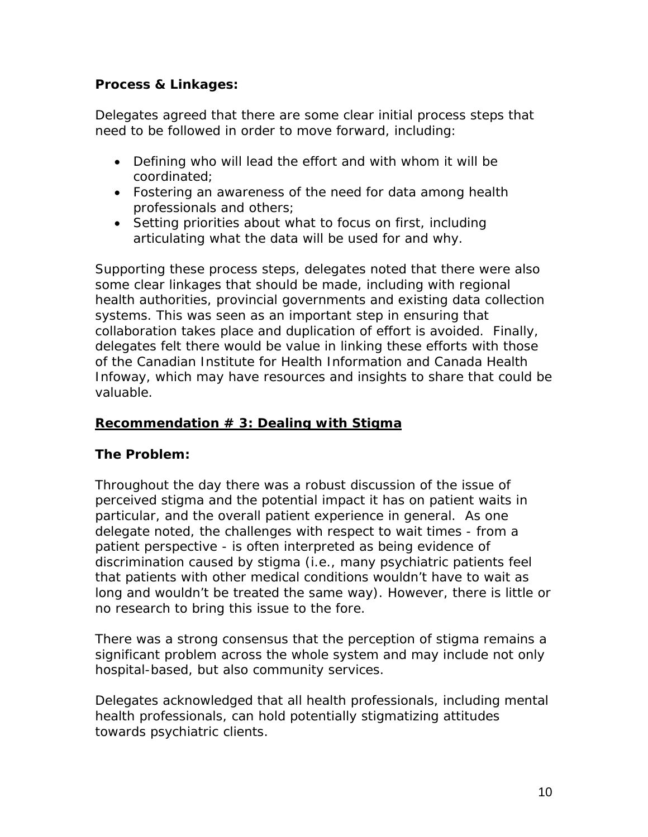### **Process & Linkages:**

Delegates agreed that there are some clear initial process steps that need to be followed in order to move forward, including:

- Defining who will lead the effort and with whom it will be coordinated;
- Fostering an awareness of the need for data among health professionals and others;
- Setting priorities about what to focus on first, including articulating what the data will be used for and why.

Supporting these process steps, delegates noted that there were also some clear linkages that should be made, including with regional health authorities, provincial governments and existing data collection systems. This was seen as an important step in ensuring that collaboration takes place and duplication of effort is avoided. Finally, delegates felt there would be value in linking these efforts with those of the Canadian Institute for Health Information and Canada Health Infoway, which may have resources and insights to share that could be valuable.

### **Recommendation # 3: Dealing with Stigma**

#### **The Problem:**

Throughout the day there was a robust discussion of the issue of perceived stigma and the potential impact it has on patient waits in particular, and the overall patient experience in general. As one delegate noted, the challenges with respect to wait times - from a patient perspective - is often interpreted as being evidence of discrimination caused by stigma (i.e., many psychiatric patients feel that patients with other medical conditions wouldn't have to wait as long and wouldn't be treated the same way). However, there is little or no research to bring this issue to the fore.

There was a strong consensus that the perception of stigma remains a significant problem across the whole system and may include not only hospital-based, but also community services.

Delegates acknowledged that *all* health professionals, including mental health professionals, can hold potentially stigmatizing attitudes towards psychiatric clients.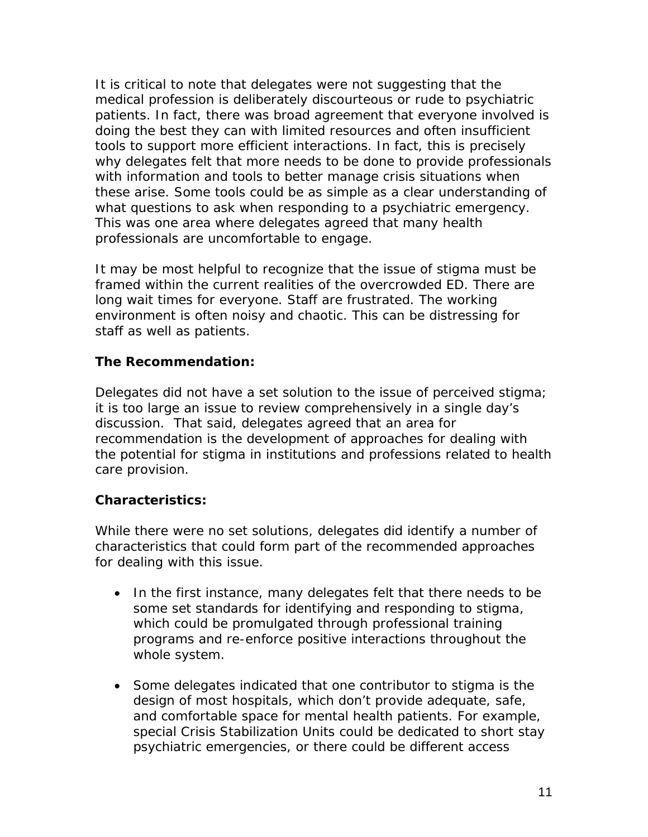It is critical to note that delegates were not suggesting that the medical profession is deliberately discourteous or rude to psychiatric patients. In fact, there was broad agreement that everyone involved is doing the best they can with limited resources and often insufficient tools to support more efficient interactions. In fact, this is precisely why delegates felt that more needs to be done to provide professionals with information and tools to better manage crisis situations when these arise. Some tools could be as simple as a clear understanding of what questions to ask when responding to a psychiatric emergency. This was one area where delegates agreed that many health professionals are uncomfortable to engage.

It may be most helpful to recognize that the issue of stigma must be framed within the current realities of the overcrowded ED. *There are long wait times for everyone.* Staff are frustrated. The working environment is often noisy and chaotic. This can be distressing for staff as well as patients.

### **The Recommendation:**

Delegates did not have a set solution to the issue of perceived stigma; it is too large an issue to review comprehensively in a single day's discussion. That said, delegates agreed that an area for recommendation is the development of approaches for dealing with the potential for stigma in institutions and professions related to health care provision.

#### **Characteristics:**

While there were no set solutions, delegates did identify a number of characteristics that could form part of the recommended approaches for dealing with this issue.

- In the first instance, many delegates felt that there needs to be some set standards for identifying and responding to stigma, which could be promulgated through professional training programs and re-enforce positive interactions throughout the whole system.
- Some delegates indicated that one contributor to stigma is the design of most hospitals, which don't provide adequate, safe, and comfortable space for mental health patients. For example, special Crisis Stabilization Units could be dedicated to short stay psychiatric emergencies, or there could be different access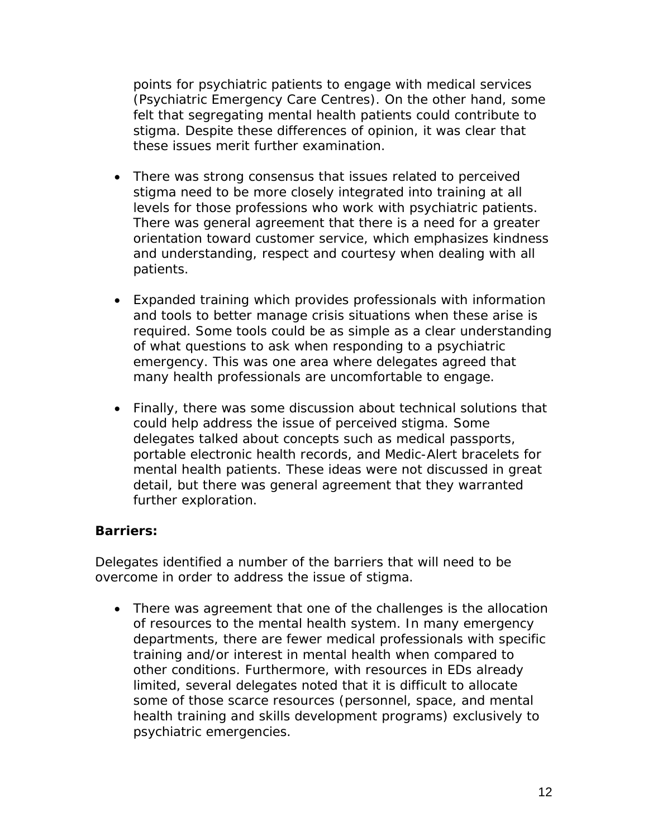points for psychiatric patients to engage with medical services (Psychiatric Emergency Care Centres). On the other hand, some felt that segregating mental health patients could contribute to stigma. Despite these differences of opinion, it was clear that these issues merit further examination.

- There was strong consensus that issues related to perceived stigma need to be more closely integrated into training at all levels for those professions who work with psychiatric patients. There was general agreement that there is a need for a greater orientation toward customer service, which emphasizes kindness and understanding, respect and courtesy when dealing with all patients.
- Expanded training which provides professionals with information and tools to better manage crisis situations when these arise is required. Some tools could be as simple as a clear understanding of what questions to ask when responding to a psychiatric emergency. This was one area where delegates agreed that many health professionals are uncomfortable to engage.
- Finally, there was some discussion about technical solutions that could help address the issue of perceived stigma. Some delegates talked about concepts such as medical passports, portable electronic health records, and Medic-Alert bracelets for mental health patients. These ideas were not discussed in great detail, but there was general agreement that they warranted further exploration.

# **Barriers:**

Delegates identified a number of the barriers that will need to be overcome in order to address the issue of stigma.

• There was agreement that one of the challenges is the allocation of resources to the mental health system. In many emergency departments, there are fewer medical professionals with specific training and/or interest in mental health when compared to other conditions. Furthermore, with resources in EDs already limited, several delegates noted that it is difficult to allocate some of those scarce resources (personnel, space, and mental health training and skills development programs) exclusively to psychiatric emergencies.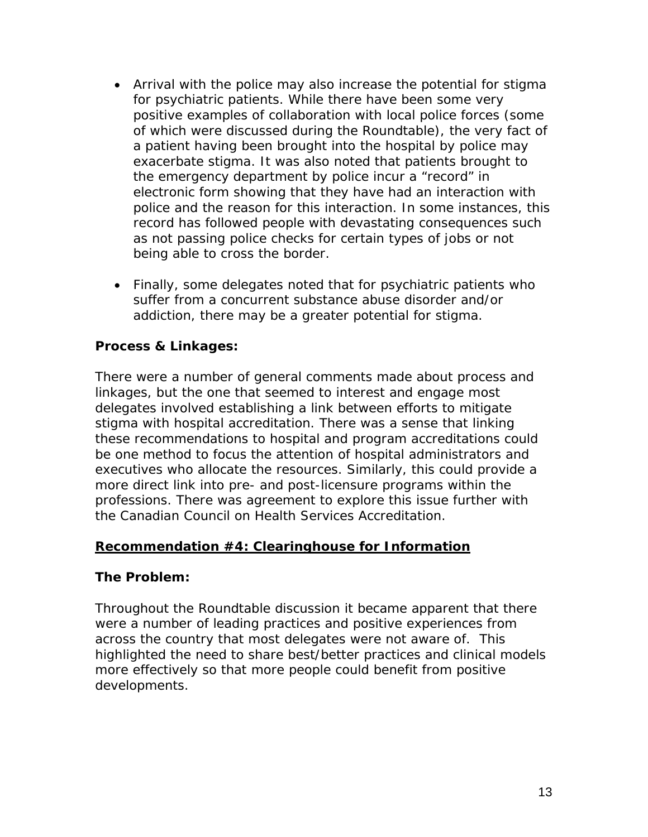- Arrival with the police may also increase the potential for stigma for psychiatric patients. While there have been some very positive examples of collaboration with local police forces (some of which were discussed during the Roundtable), the very fact of a patient having been brought into the hospital by police may exacerbate stigma. It was also noted that patients brought to the emergency department by police incur a "record" in electronic form showing that they have had an interaction with police and the reason for this interaction. In some instances, this record has followed people with devastating consequences such as not passing police checks for certain types of jobs or not being able to cross the border.
- Finally, some delegates noted that for psychiatric patients who suffer from a concurrent substance abuse disorder and/or addiction, there may be a greater potential for stigma.

#### **Process & Linkages:**

There were a number of general comments made about process and linkages, but the one that seemed to interest and engage most delegates involved establishing a link between efforts to mitigate stigma with hospital accreditation. There was a sense that linking these recommendations to hospital and program accreditations could be one method to focus the attention of hospital administrators and executives who allocate the resources. Similarly, this could provide a more direct link into pre- and post-licensure programs within the professions. There was agreement to explore this issue further with the Canadian Council on Health Services Accreditation.

#### **Recommendation #4: Clearinghouse for Information**

#### **The Problem:**

Throughout the Roundtable discussion it became apparent that there were a number of leading practices and positive experiences from across the country that most delegates were not aware of. This highlighted the need to share best/better practices and clinical models more effectively so that more people could benefit from positive developments.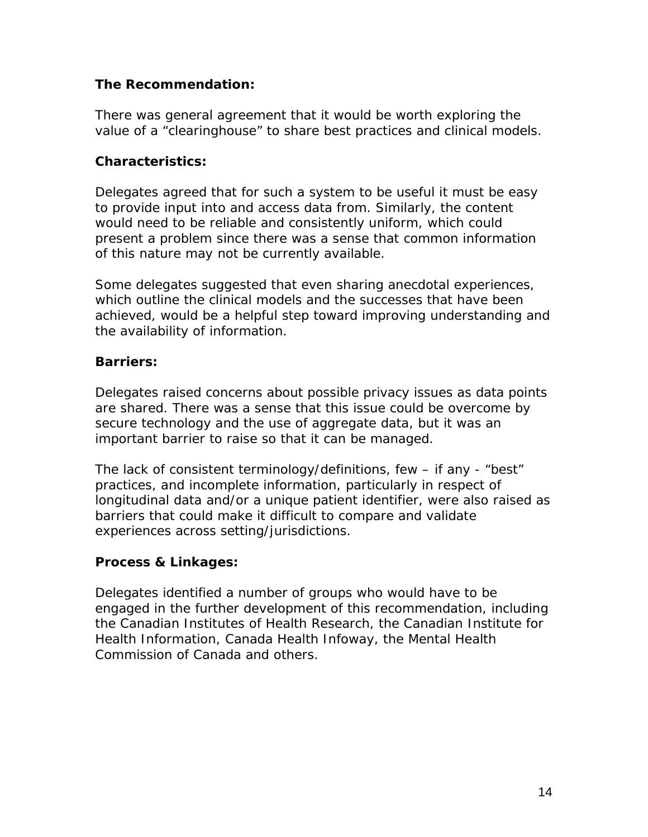### **The Recommendation:**

There was general agreement that it would be worth exploring the value of a "clearinghouse" to share best practices and clinical models.

#### **Characteristics:**

Delegates agreed that for such a system to be useful it must be easy to provide input into and access data from. Similarly, the content would need to be reliable and consistently uniform, which could present a problem since there was a sense that common information of this nature may not be currently available.

Some delegates suggested that even sharing anecdotal experiences, which outline the clinical models and the successes that have been achieved, would be a helpful step toward improving understanding and the availability of information.

### **Barriers:**

Delegates raised concerns about possible privacy issues as data points are shared. There was a sense that this issue could be overcome by secure technology and the use of aggregate data, but it was an important barrier to raise so that it can be managed.

The lack of consistent terminology/definitions, few – if any - "best" practices, and incomplete information, particularly in respect of longitudinal data and/or a unique patient identifier, were also raised as barriers that could make it difficult to compare and validate experiences across setting/jurisdictions.

# **Process & Linkages:**

Delegates identified a number of groups who would have to be engaged in the further development of this recommendation, including the Canadian Institutes of Health Research, the Canadian Institute for Health Information, Canada Health Infoway, the Mental Health Commission of Canada and others.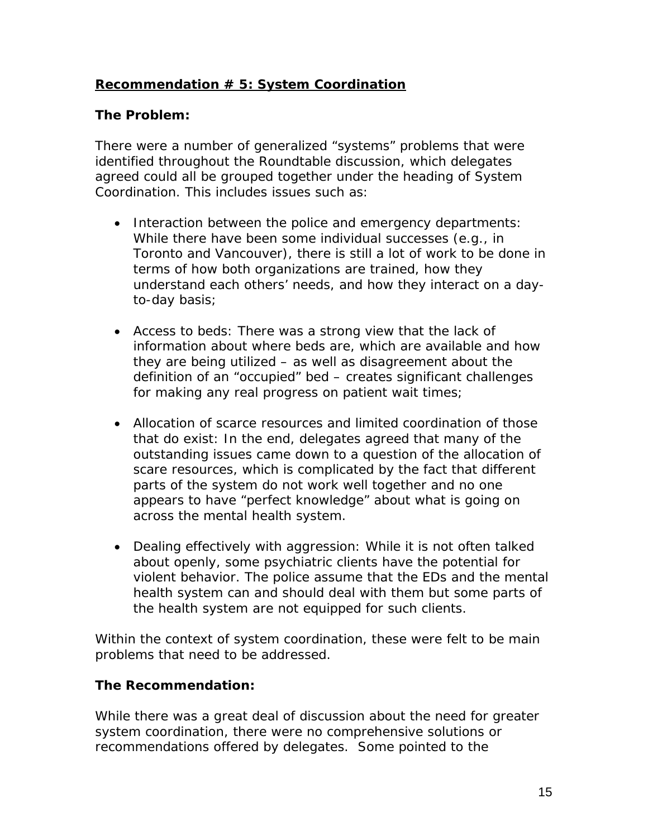# **Recommendation # 5: System Coordination**

### **The Problem:**

There were a number of generalized "systems" problems that were identified throughout the Roundtable discussion, which delegates agreed could all be grouped together under the heading of System Coordination. This includes issues such as:

- *Interaction between the police and emergency departments:*  While there have been some individual successes (e.g., in Toronto and Vancouver), there is still a lot of work to be done in terms of how both organizations are trained, how they understand each others' needs, and how they interact on a dayto-day basis;
- *Access to beds:* There was a strong view that the lack of information about where beds are, which are available and how they are being utilized – as well as disagreement about the definition of an "occupied" bed – creates significant challenges for making any real progress on patient wait times;
- *Allocation of scarce resources and limited coordination of those that do exist:* In the end, delegates agreed that many of the outstanding issues came down to a question of the allocation of scare resources, which is complicated by the fact that different parts of the system do not work well together and no one appears to have "perfect knowledge" about what is going on across the mental health system.
- *Dealing effectively with aggression:* While it is not often talked about openly, some psychiatric clients have the potential for violent behavior. The police assume that the EDs and the mental health system can and should deal with them but some parts of the health system are not equipped for such clients.

Within the context of system coordination, these were felt to be main problems that need to be addressed.

#### **The Recommendation:**

While there was a great deal of discussion about the need for greater system coordination, there were no comprehensive solutions or recommendations offered by delegates. Some pointed to the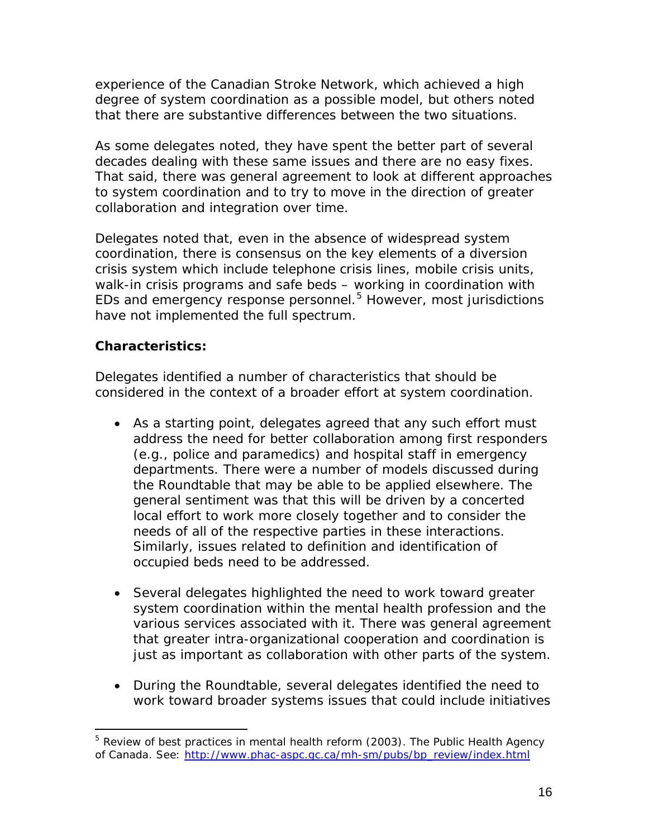experience of the Canadian Stroke Network, which achieved a high degree of system coordination as a possible model, but others noted that there are substantive differences between the two situations.

As some delegates noted, they have spent the better part of several decades dealing with these same issues and there are no easy fixes. That said, there was general agreement to look at different approaches to system coordination and to try to move in the direction of greater collaboration and integration over time.

Delegates noted that, even in the absence of widespread system coordination, there is consensus on the key elements of a diversion crisis system which include telephone crisis lines, mobile crisis units, walk-in crisis programs and safe beds – working in coordination with EDs and emergency response personnel. [5](#page-15-0) However, most jurisdictions have not implemented the full spectrum.

# **Characteristics:**

Delegates identified a number of characteristics that should be considered in the context of a broader effort at system coordination.

- As a starting point, delegates agreed that any such effort must address the need for better collaboration among first responders (e.g., police and paramedics) and hospital staff in emergency departments. There were a number of models discussed during the Roundtable that may be able to be applied elsewhere. The general sentiment was that this will be driven by a concerted local effort to work more closely together and to consider the needs of all of the respective parties in these interactions. Similarly, issues related to definition and identification of occupied beds need to be addressed.
- Several delegates highlighted the need to work toward greater system coordination within the mental health profession and the various services associated with it. There was general agreement that greater intra-organizational cooperation and coordination is just as important as collaboration with other parts of the system.
- During the Roundtable, several delegates identified the need to work toward broader systems issues that could include initiatives

<span id="page-15-0"></span><sup>&</sup>lt;sup>5</sup> Review of best practices in mental health reform (2003). The Public Health Agency of Canada. See: [http://www.phac-aspc.gc.ca/mh-sm/pubs/bp\\_review/index.html](http://www.phac-aspc.gc.ca/mh-sm/pubs/bp_review/index.html)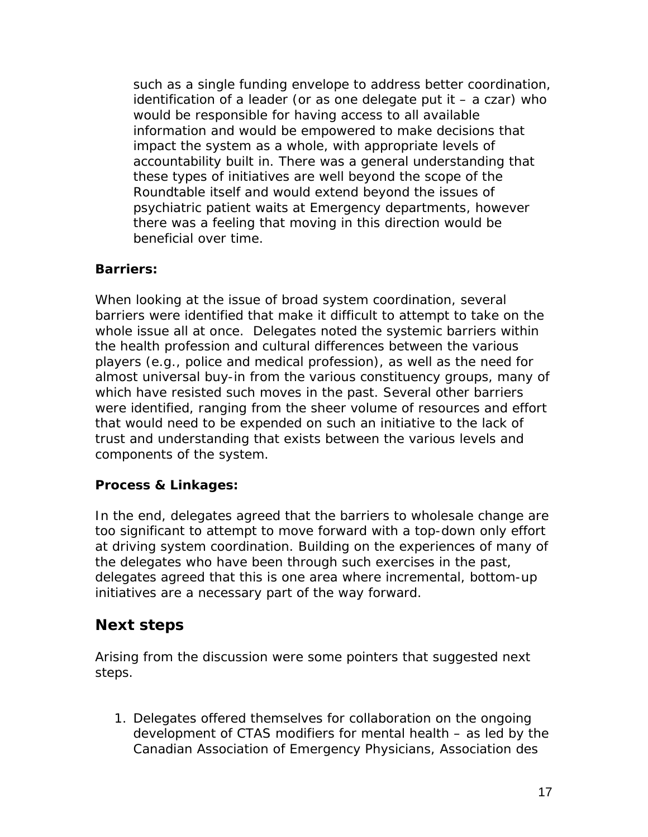such as a single funding envelope to address better coordination, identification of a leader (or as one delegate put it  $-$  a czar) who would be responsible for having access to all available information and would be empowered to make decisions that impact the system as a whole, with appropriate levels of accountability built in. There was a general understanding that these types of initiatives are well beyond the scope of the Roundtable itself and would extend beyond the issues of psychiatric patient waits at Emergency departments, however there was a feeling that moving in this direction would be beneficial over time.

### **Barriers:**

When looking at the issue of broad system coordination, several barriers were identified that make it difficult to attempt to take on the whole issue all at once. Delegates noted the systemic barriers within the health profession and cultural differences between the various players (e.g., police and medical profession), as well as the need for almost universal buy-in from the various constituency groups, many of which have resisted such moves in the past. Several other barriers were identified, ranging from the sheer volume of resources and effort that would need to be expended on such an initiative to the lack of trust and understanding that exists between the various levels and components of the system.

#### **Process & Linkages:**

In the end, delegates agreed that the barriers to wholesale change are too significant to attempt to move forward with a top-down only effort at driving system coordination. Building on the experiences of many of the delegates who have been through such exercises in the past, delegates agreed that this is one area where incremental, bottom-up initiatives are a necessary part of the way forward.

# **Next steps**

Arising from the discussion were some pointers that suggested next steps.

1. Delegates offered themselves for collaboration on the ongoing development of CTAS modifiers for mental health – as led by the Canadian Association of Emergency Physicians, Association des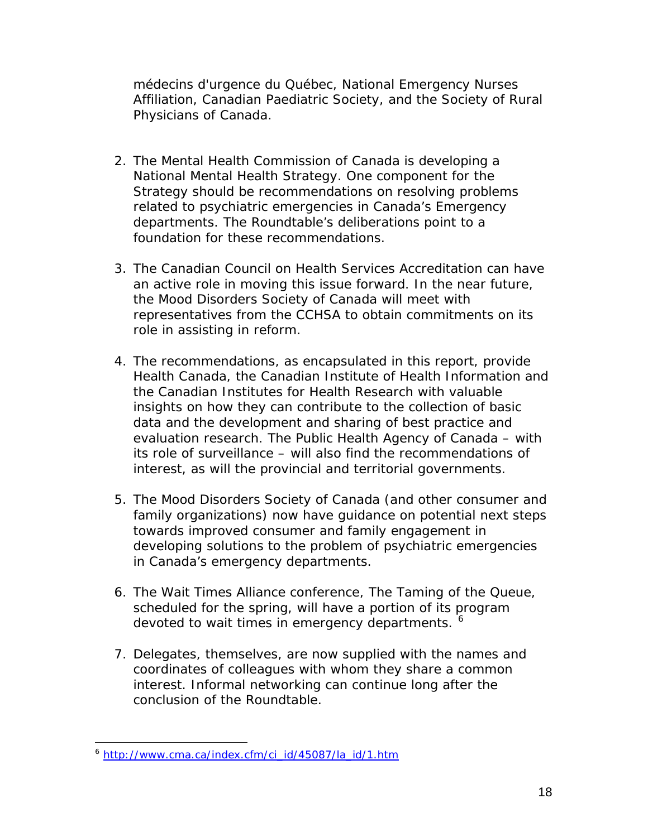médecins d'urgence du Québec, [National Emergency Nurses](http://www.nena.ca/)  [Affiliation,](http://www.nena.ca/) [Canadian Paediatric Society,](http://www.cps.ca/) and the Society of Rural Physicians of Canada.

- 2. The Mental Health Commission of Canada is developing a National Mental Health Strategy. One component for the Strategy should be recommendations on resolving problems related to psychiatric emergencies in Canada's Emergency departments. The Roundtable's deliberations point to a foundation for these recommendations.
- 3. The Canadian Council on Health Services Accreditation can have an active role in moving this issue forward. In the near future, the Mood Disorders Society of Canada will meet with representatives from the CCHSA to obtain commitments on its role in assisting in reform.
- 4. The recommendations, as encapsulated in this report, provide Health Canada, the Canadian Institute of Health Information and the Canadian Institutes for Health Research with valuable insights on how they can contribute to the collection of basic data and the development and sharing of best practice and evaluation research. The Public Health Agency of Canada – with its role of surveillance – will also find the recommendations of interest, as will the provincial and territorial governments.
- 5. The Mood Disorders Society of Canada (and other consumer and family organizations) now have guidance on potential next steps towards improved consumer and family engagement in developing solutions to the problem of psychiatric emergencies in Canada's emergency departments.
- 6. The Wait Times Alliance conference, The Taming of the Queue, scheduled for the spring, will have a portion of its program devoted to wait times in emergency departments.
- 7. Delegates, themselves, are now supplied with the names and coordinates of colleagues with whom they share a common interest. Informal networking can continue long after the conclusion of the Roundtable.

<span id="page-17-0"></span><sup>6</sup> [http://www.cma.ca/index.cfm/ci\\_id/45087/la\\_id/1.htm](http://www.cma.ca/index.cfm/ci_id/45087/la_id/1.htm)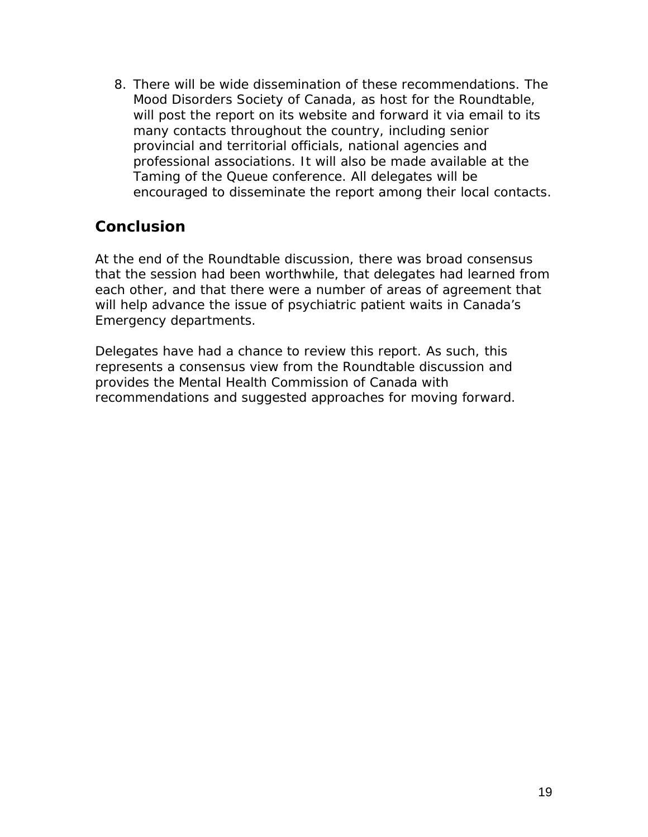8. There will be wide dissemination of these recommendations. The Mood Disorders Society of Canada, as host for the Roundtable, will post the report on its website and forward it via email to its many contacts throughout the country, including senior provincial and territorial officials, national agencies and professional associations. It will also be made available at the Taming of the Queue conference. All delegates will be encouraged to disseminate the report among their local contacts.

# **Conclusion**

At the end of the Roundtable discussion, there was broad consensus that the session had been worthwhile, that delegates had learned from each other, and that there were a number of areas of agreement that will help advance the issue of psychiatric patient waits in Canada's Emergency departments.

Delegates have had a chance to review this report. As such, this represents a consensus view from the Roundtable discussion and provides the Mental Health Commission of Canada with recommendations and suggested approaches for moving forward.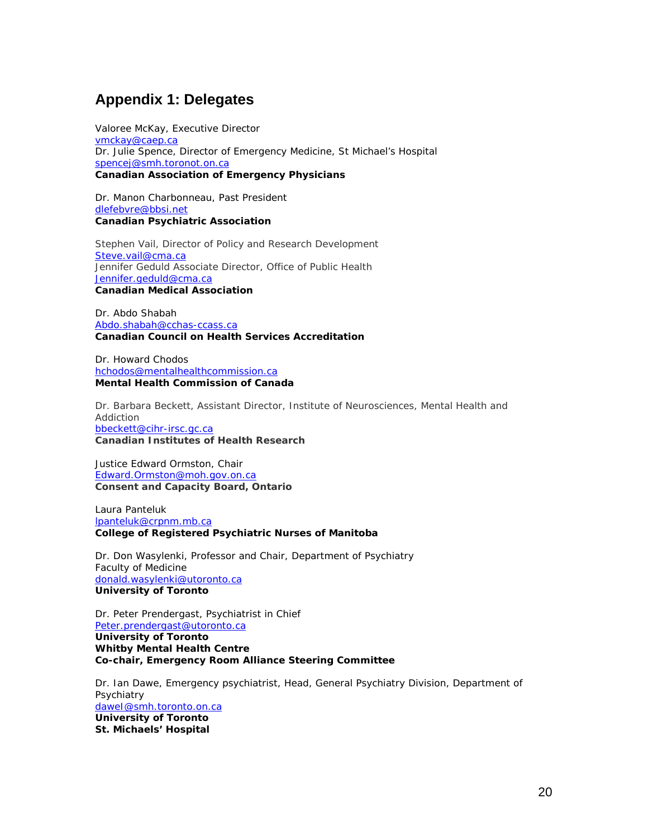# **Appendix 1: Delegates**

Valoree McKay, Executive Director [vmckay@caep.ca](mailto:vmvkay@caep.ca) Dr. Julie Spence, Director of Emergency Medicine, St Michael's Hospital [spencej@smh.toronot.on.ca](mailto:spencej@smh.toronot.on.ca) **Canadian Association of Emergency Physicians**

Dr. Manon Charbonneau, Past President [dlefebvre@bbsi.net](mailto:dlefebvre@bbsi.net) **Canadian Psychiatric Association**

Stephen Vail, Director of Policy and Research Development [Steve.vail@cma.ca](mailto:Stephen.vail@cma.ca) Jennifer Geduld Associate Director, Office of Public Health [Jennifer.geduld@cma.ca](mailto:Jennifer.geduld@cma.ca) **Canadian Medical Association**

Dr. Abdo Shabah [Abdo.shabah@cchas-ccass.ca](mailto:Abdo.shabah@cchas-ccass.ca)  **Canadian Council on Health Services Accreditation**

Dr. Howard Chodos [hchodos@mentalhealthcommission.ca](http://ca.f883.mail.yahoo.com/ym/Compose?To=hchodos@mentalhealthcommission.ca) **Mental Health Commission of Canada**

Dr. Barbara Beckett, Assistant Director, Institute of Neurosciences, Mental Health and Addiction [bbeckett@cihr-irsc.gc.ca](mailto:bbeckett@cihr-irsc.gc.ca) **Canadian Institutes of Health Research**

Justice Edward Ormston, Chair [Edward.Ormston@moh.gov.on.ca](http://ca.f883.mail.yahoo.com/ym/Compose?To=Edward.Ormston@moh.gov.on.ca&YY=84991&y5beta=yes&y5beta=yes&order=down&sort=date&pos=0&view=a&head=b) **Consent and Capacity Board, Ontario**

Laura Panteluk [lpanteluk@crpnm.mb.ca](mailto:lpanteluk@crpnm.mb.ca) **College of Registered Psychiatric Nurses of Manitoba**

Dr. Don Wasylenki, Professor and Chair, Department of Psychiatry Faculty of Medicine [donald.wasylenki@utoronto.ca](mailto:donald.wasylenki@utoronto.ca) **University of Toronto**

Dr. Peter Prendergast, Psychiatrist in Chief [Peter.prendergast@utoronto.ca](mailto:Peter.prendergast@utoronto.ca) **University of Toronto Whitby Mental Health Centre Co-chair, Emergency Room Alliance Steering Committee**

Dr. Ian Dawe, Emergency psychiatrist, Head, General Psychiatry Division, Department of **Psychiatry** [daweI@smh.toronto.on.ca](http://ca.f883.mail.yahoo.com/ym/Compose?To=daweI@smh.toronto.on.ca) **University of Toronto St. Michaels' Hospital**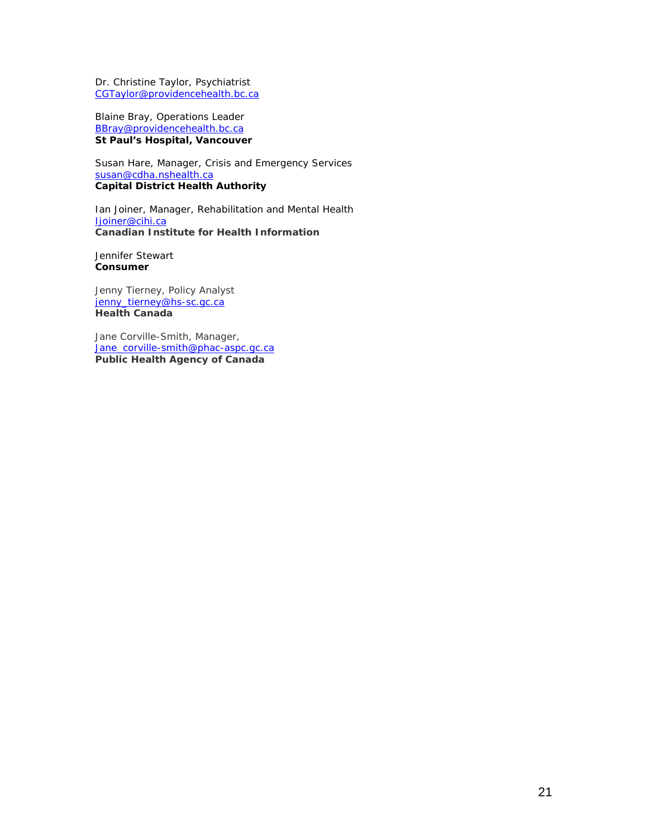Dr. Christine Taylor, Psychiatrist [CGTaylor@providencehealth.bc.ca](mailto:CGTaylor@providencehealth.bc.ca)

Blaine Bray, Operations Leader [BBray@providencehealth.bc.ca](mailto:BBRay@providencehealth.bc.ca) **St Paul's Hospital, Vancouver**

Susan Hare, Manager, Crisis and Emergency Services [susan@cdha.nshealth.ca](mailto:susan@cdha.nshealth.ca) **Capital District Health Authority**

Ian Joiner, Manager, Rehabilitation and Mental Health [Ijoiner@cihi.ca](mailto:Ijoiner@cihi.ca) **Canadian Institute for Health Information**

Jennifer Stewart **Consumer**

Jenny Tierney, Policy Analyst [jenny\\_tierney@hs-sc.gc.ca](mailto:Jenny_tierney@hs-sc.gc.ca) **Health Canada**

Jane Corville-Smith, Manager, [Jane\\_corville-smith@phac-aspc.gc.ca](mailto:Jane_corville-smith@phac-aspc.gc.ca) **Public Health Agency of Canada**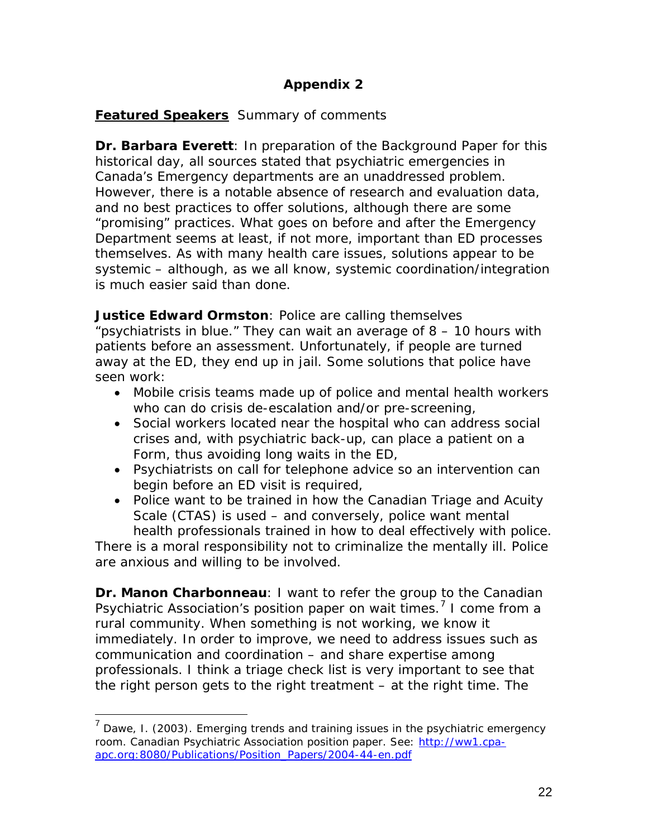# **Appendix 2**

# **Featured Speakers** Summary of comments

*Dr. Barbara Everett:* In preparation of the Background Paper for this historical day, all sources stated that psychiatric emergencies in Canada's Emergency departments are an unaddressed problem. However, there is a notable absence of research and evaluation data, and no best practices to offer solutions, although there are some "promising" practices. What goes on before and after the Emergency Department seems at least, if not more, important than ED processes themselves. As with many health care issues, solutions appear to be systemic – although, as we all know, systemic coordination/integration is much easier said than done.

*Justice Edward Ormston:* Police are calling themselves "psychiatrists in blue." They can wait an average of 8 – 10 hours with patients before an assessment. Unfortunately, if people are turned away at the ED, they end up in jail. Some solutions that police have seen work:

- Mobile crisis teams made up of police and mental health workers who can do crisis de-escalation and/or pre-screening,
- Social workers located near the hospital who can address social crises and, with psychiatric back-up, can place a patient on a Form, thus avoiding long waits in the ED,
- Psychiatrists on call for telephone advice so an intervention can begin before an ED visit is required,
- Police want to be trained in how the Canadian Triage and Acuity Scale (CTAS) is used – and conversely, police want mental health professionals trained in how to deal effectively with police.

There is a moral responsibility not to criminalize the mentally ill. Police are anxious and willing to be involved.

**Dr. Manon Charbonneau**: I want to refer the group to the Canadian Psychiatric Association's position paper on wait times.<sup>[7](#page-21-0)</sup> I come from a rural community. When something is not working, we know it immediately. In order to improve, we need to address issues such as communication and coordination – and share expertise among professionals. I think a triage check list is very important to see that the right person gets to the right treatment – at the right time. The

<span id="page-21-0"></span> $7$  Dawe, I. (2003). Emerging trends and training issues in the psychiatric emergency room. Canadian Psychiatric Association position paper. See: [http://ww1.cpa](http://ww1.cpa-apc.org:8080/Publications/Position_Papers/2004-44-en.pdf)[apc.org:8080/Publications/Position\\_Papers/2004-44-en.pdf](http://ww1.cpa-apc.org:8080/Publications/Position_Papers/2004-44-en.pdf)